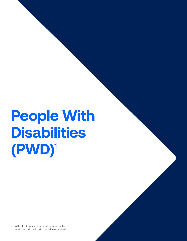1 Within this document the nomenclature used for the priority population reflects the original source material.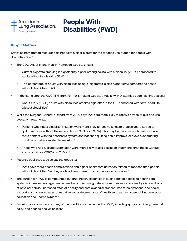

## **Why it Matters**

Statistics from trusted resources do not paint a clear picture for the tobacco use burden for people with disabilities (PWD):

- The CDC Disability and Health Promotion website shows:
	- Current cigarette smoking is significantly higher among adults with a disability (27.8%) compared to adults without a disability (13.4%).<sup>1</sup>
	- The percentage of adults with disabilities using e-cigarettes is also higher (8%) compared to adults without disabilities (3.9%).<sup>2</sup>
- At the same time, the CDC TIPS from Former Smokers website's Adults with Disabilities page has this statistic:
	- About 1 in 5 (19.2%) adults with disabilities smokes cigarettes in the U.S. compared with 13.1% of adults without disabilities.<sup>3</sup>
- While the Surgeon General's Report from 2020 says PWD are more likely to receive advice to quit and use cessation treatments:
	- Persons who had a disability/limitation were more likely to receive a health professional's advice to quit than those without these conditions (71.8% vs. 53.6%). This may be because such persons have more contact with the healthcare system and because quitting could improve, or avoid exacerbating, conditions that are related to smoking.4
	- Those who had a disability/limitation were more likely to use cessation treatments than those without such conditions (39.0% vs. 28.5%).5
- Recently published articles say the opposite:
	- PWD have more health complications and higher healthcare utilization related to tobacco than people without disabilities. Yet they are less likely to use tobacco cessation resources.<sup>6</sup>
- The burden for PWD is compounded by other health disparities including limited access to health care systems, increased engagement in health-compromising behaviors such as eating unhealthy diets and lack of physical activity, increased rates of obesity and cardiovascular disease, little to no emotional and social support and increased rates of negative social determinants of health such as low household income, poor education and unemployment.<sup>7</sup>
- Smoking also compounds many of the conditions experienced by PWD, including spinal cord injury, cerebral palsy, and hearing and vision loss.<sup>8</sup>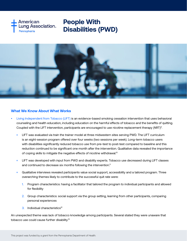



## **What We Know About What Works**

- [Living Independent from Tobacco \(LIFT\)](https://nisonger.osu.edu/wp-content/uploads/2019/06/LIFT-Tobacco-Workbook-2019.pdf) is an evidence-based smoking cessation intervention that uses behavioral counseling and health education, including education on the harmful effects of tobacco and the benefits of quitting. Coupled with the LIFT intervention, participants are encouraged to use nicotine replacement therapy (NRT)<sup>9</sup>.
	- LIFT was evaluated via train the trainer model at three midwestern sites serving PWD. The LIFT curriculum is an eight-session program offered over four weeks (two sessions per week). Long-term tobacco users with disabilities significantly reduced tobacco use from pre-test to post-test compared to baseline and this reduction continued to be significant one month after the intervention. Qualitative data revealed the importance of coping skills to mitigate the negative effects of nicotine withdrawal.<sup>10</sup>
	- LIFT was developed with input from PWD and disability experts. Tobacco use decreased during LIFT classes and continued to decrease six months following the intervention.<sup>11</sup>
	- Qualitative interviews revealed participants value social support, accessibility and a tailored program. Three overarching themes likely to contribute to the successful quit rate were:
		- 1. Program characteristics: having a facilitator that tailored the program to individual participants and allowed for flexibility
		- 2. Group characteristics: social support via the group setting, learning from other participants, comparing personal experiences
		- $3.$  Individual characteristics<sup>12</sup>

An unexpected theme was lack of tobacco knowledge among participants. Several stated they were unaware that tobacco use could cause further disability.13